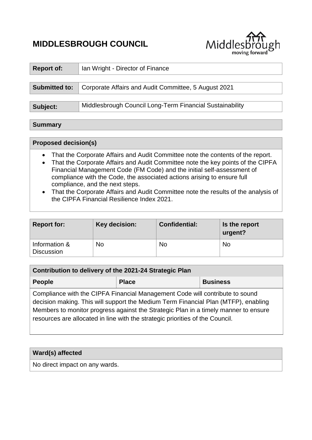# **MIDDLESBROUGH COUNCIL**



| <b>Report of:</b>    | Ian Wright - Director of Finance                         |  |
|----------------------|----------------------------------------------------------|--|
|                      |                                                          |  |
| <b>Submitted to:</b> | Corporate Affairs and Audit Committee, 5 August 2021     |  |
|                      |                                                          |  |
| Subject:             | Middlesbrough Council Long-Term Financial Sustainability |  |
|                      |                                                          |  |

## **Summary**

# **Proposed decision(s)**

- That the Corporate Affairs and Audit Committee note the contents of the report.
- That the Corporate Affairs and Audit Committee note the key points of the CIPFA Financial Management Code (FM Code) and the initial self-assessment of compliance with the Code, the associated actions arising to ensure full compliance, and the next steps.
- That the Corporate Affairs and Audit Committee note the results of the analysis of the CIPFA Financial Resilience Index 2021.

| <b>Report for:</b>                 | Key decision: | <b>Confidential:</b> | Is the report<br>urgent? |
|------------------------------------|---------------|----------------------|--------------------------|
| Information &<br><b>Discussion</b> | <b>No</b>     | No                   | <b>No</b>                |

| Contribution to delivery of the 2021-24 Strategic Plan                                                                                                                                                                                                                                                                                     |              |                 |  |
|--------------------------------------------------------------------------------------------------------------------------------------------------------------------------------------------------------------------------------------------------------------------------------------------------------------------------------------------|--------------|-----------------|--|
| <b>People</b>                                                                                                                                                                                                                                                                                                                              | <b>Place</b> | <b>Business</b> |  |
| Compliance with the CIPFA Financial Management Code will contribute to sound<br>decision making. This will support the Medium Term Financial Plan (MTFP), enabling<br>Members to monitor progress against the Strategic Plan in a timely manner to ensure<br>resources are allocated in line with the strategic priorities of the Council. |              |                 |  |

## **Ward(s) affected**

No direct impact on any wards.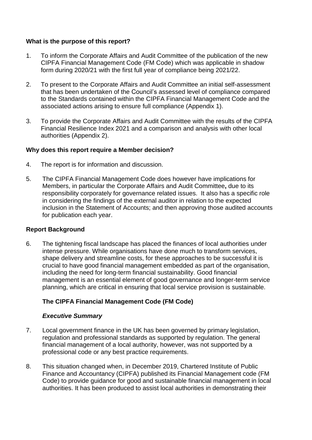## **What is the purpose of this report?**

- 1. To inform the Corporate Affairs and Audit Committee of the publication of the new CIPFA Financial Management Code (FM Code) which was applicable in shadow form during 2020/21 with the first full year of compliance being 2021/22.
- 2. To present to the Corporate Affairs and Audit Committee an initial self-assessment that has been undertaken of the Council's assessed level of compliance compared to the Standards contained within the CIPFA Financial Management Code and the associated actions arising to ensure full compliance (Appendix 1).
- 3. To provide the Corporate Affairs and Audit Committee with the results of the CIPFA Financial Resilience Index 2021 and a comparison and analysis with other local authorities (Appendix 2).

#### **Why does this report require a Member decision?**

- 4. The report is for information and discussion.
- 5. The CIPFA Financial Management Code does however have implications for Members, in particular the Corporate Affairs and Audit Committee**,** due to its responsibility corporately for governance related issues. It also has a specific role in considering the findings of the external auditor in relation to the expected inclusion in the Statement of Accounts; and then approving those audited accounts for publication each year.

#### **Report Background**

6. The tightening fiscal landscape has placed the finances of local authorities under intense pressure. While organisations have done much to transform services, shape delivery and streamline costs, for these approaches to be successful it is crucial to have good financial management embedded as part of the organisation, including the need for long-term financial sustainability. Good financial management is an essential element of good governance and longer-term service planning, which are critical in ensuring that local service provision is sustainable.

## **The CIPFA Financial Management Code (FM Code)**

#### *Executive Summary*

- 7. Local government finance in the UK has been governed by primary legislation, regulation and professional standards as supported by regulation. The general financial management of a local authority, however, was not supported by a professional code or any best practice requirements.
- 8. This situation changed when, in December 2019, Chartered Institute of Public Finance and Accountancy (CIPFA) published its Financial Management code (FM Code) to provide guidance for good and sustainable financial management in local authorities. It has been produced to assist local authorities in demonstrating their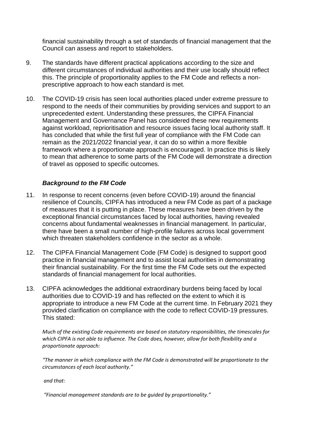financial sustainability through a set of standards of financial management that the Council can assess and report to stakeholders.

- 9. The standards have different practical applications according to the size and different circumstances of individual authorities and their use locally should reflect this. The principle of proportionality applies to the FM Code and reflects a nonprescriptive approach to how each standard is met.
- 10. The COVID-19 crisis has seen local authorities placed under extreme pressure to respond to the needs of their communities by providing services and support to an unprecedented extent. Understanding these pressures, the CIPFA Financial Management and Governance Panel has considered these new requirements against workload, reprioritisation and resource issues facing local authority staff. It has concluded that while the first full year of compliance with the FM Code can remain as the 2021/2022 financial year, it can do so within a more flexible framework where a proportionate approach is encouraged. In practice this is likely to mean that adherence to some parts of the FM Code will demonstrate a direction of travel as opposed to specific outcomes.

## *Background to the FM Code*

- 11. In response to recent concerns (even before COVID-19) around the financial resilience of Councils, CIPFA has introduced a new FM Code as part of a package of measures that it is putting in place. These measures have been driven by the exceptional financial circumstances faced by local authorities, having revealed concerns about fundamental weaknesses in financial management. In particular, there have been a small number of high-profile failures across local government which threaten stakeholders confidence in the sector as a whole.
- 12. The CIPFA Financial Management Code (FM Code) is designed to support good practice in financial management and to assist local authorities in demonstrating their financial sustainability. For the first time the FM Code sets out the expected standards of financial management for local authorities.
- 13. CIPFA acknowledges the additional extraordinary burdens being faced by local authorities due to COVID-19 and has reflected on the extent to which it is appropriate to introduce a new FM Code at the current time. In February 2021 they provided clarification on compliance with the code to reflect COVID-19 pressures. This stated:

*Much of the existing Code requirements are based on statutory responsibilities, the timescales for which CIPFA is not able to influence. The Code does, however, allow for both flexibility and a proportionate approach:* 

*"The manner in which compliance with the FM Code is demonstrated will be proportionate to the circumstances of each local authority."*

*and that:*

*"Financial management standards are to be guided by proportionality."*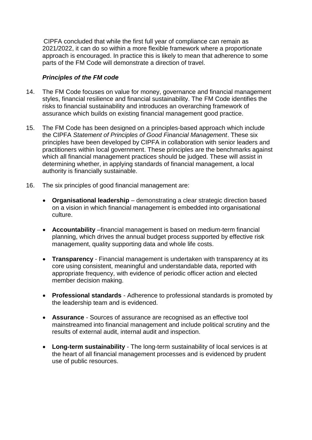CIPFA concluded that while the first full year of compliance can remain as 2021/2022, it can do so within a more flexible framework where a proportionate approach is encouraged. In practice this is likely to mean that adherence to some parts of the FM Code will demonstrate a direction of travel.

#### *Principles of the FM code*

- 14. The FM Code focuses on value for money, governance and financial management styles, financial resilience and financial sustainability. The FM Code identifies the risks to financial sustainability and introduces an overarching framework of assurance which builds on existing financial management good practice.
- 15. The FM Code has been designed on a principles-based approach which include the CIPFA *Statement of Principles of Good Financial Management*. These six principles have been developed by CIPFA in collaboration with senior leaders and practitioners within local government. These principles are the benchmarks against which all financial management practices should be judged. These will assist in determining whether, in applying standards of financial management, a local authority is financially sustainable.
- 16. The six principles of good financial management are:
	- **Organisational leadership** demonstrating a clear strategic direction based on a vision in which financial management is embedded into organisational culture.
	- **Accountability** –financial management is based on medium-term financial planning, which drives the annual budget process supported by effective risk management, quality supporting data and whole life costs.
	- **Transparency** Financial management is undertaken with transparency at its core using consistent, meaningful and understandable data, reported with appropriate frequency, with evidence of periodic officer action and elected member decision making.
	- **Professional standards** Adherence to professional standards is promoted by the leadership team and is evidenced.
	- **Assurance** Sources of assurance are recognised as an effective tool mainstreamed into financial management and include political scrutiny and the results of external audit, internal audit and inspection.
	- **Long-term sustainability** The long-term sustainability of local services is at the heart of all financial management processes and is evidenced by prudent use of public resources.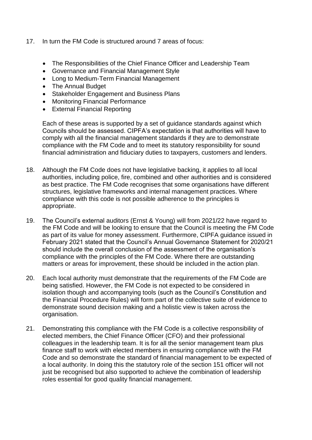- 17. In turn the FM Code is structured around 7 areas of focus:
	- The Responsibilities of the Chief Finance Officer and Leadership Team
	- Governance and Financial Management Style
	- Long to Medium-Term Financial Management
	- The Annual Budget
	- Stakeholder Engagement and Business Plans
	- Monitoring Financial Performance
	- External Financial Reporting

Each of these areas is supported by a set of guidance standards against which Councils should be assessed. CIPFA's expectation is that authorities will have to comply with all the financial management standards if they are to demonstrate compliance with the FM Code and to meet its statutory responsibility for sound financial administration and fiduciary duties to taxpayers, customers and lenders.

- 18. Although the FM Code does not have legislative backing, it applies to all local authorities, including police, fire, combined and other authorities and is considered as best practice. The FM Code recognises that some organisations have different structures, legislative frameworks and internal management practices. Where compliance with this code is not possible adherence to the principles is appropriate.
- 19. The Council's external auditors (Ernst & Young) will from 2021/22 have regard to the FM Code and will be looking to ensure that the Council is meeting the FM Code as part of its value for money assessment. Furthermore, CIPFA guidance issued in February 2021 stated that the Council's Annual Governance Statement for 2020/21 should include the overall conclusion of the assessment of the organisation's compliance with the principles of the FM Code. Where there are outstanding matters or areas for improvement, these should be included in the action plan.
- 20. Each local authority must demonstrate that the requirements of the FM Code are being satisfied. However, the FM Code is not expected to be considered in isolation though and accompanying tools (such as the Council's Constitution and the Financial Procedure Rules) will form part of the collective suite of evidence to demonstrate sound decision making and a holistic view is taken across the organisation.
- 21. Demonstrating this compliance with the FM Code is a collective responsibility of elected members, the Chief Finance Officer (CFO) and their professional colleagues in the leadership team. It is for all the senior management team plus finance staff to work with elected members in ensuring compliance with the FM Code and so demonstrate the standard of financial management to be expected of a local authority. In doing this the statutory role of the section 151 officer will not just be recognised but also supported to achieve the combination of leadership roles essential for good quality financial management.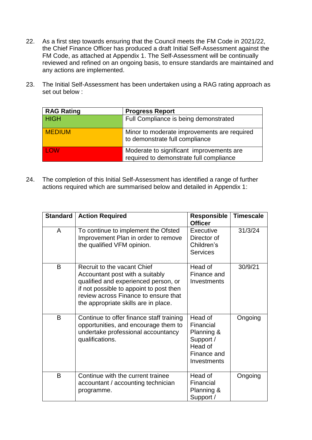- 22. As a first step towards ensuring that the Council meets the FM Code in 2021/22, the Chief Finance Officer has produced a draft Initial Self-Assessment against the FM Code, as attached at Appendix 1. The Self-Assessment will be continually reviewed and refined on an ongoing basis, to ensure standards are maintained and any actions are implemented.
- 23. The Initial Self-Assessment has been undertaken using a RAG rating approach as set out below :

| <b>RAG Rating</b> | <b>Progress Report</b>                                                              |
|-------------------|-------------------------------------------------------------------------------------|
| <b>HIGH</b>       | Full Compliance is being demonstrated                                               |
| <b>MEDIUM</b>     | Minor to moderate improvements are required<br>to demonstrate full compliance       |
| LOW               | Moderate to significant improvements are<br>required to demonstrate full compliance |

24. The completion of this Initial Self-Assessment has identified a range of further actions required which are summarised below and detailed in Appendix 1:

| <b>Standard</b> | <b>Action Required</b>                                                                                                                                                                                                            | <b>Responsible</b><br><b>Officer</b>                                                     | <b>Timescale</b> |
|-----------------|-----------------------------------------------------------------------------------------------------------------------------------------------------------------------------------------------------------------------------------|------------------------------------------------------------------------------------------|------------------|
| A               | To continue to implement the Ofsted<br>Improvement Plan in order to remove<br>the qualified VFM opinion.                                                                                                                          | Executive<br>Director of<br>Children's<br><b>Services</b>                                | 31/3/24          |
| B               | Recruit to the vacant Chief<br>Accountant post with a suitably<br>qualified and experienced person, or<br>if not possible to appoint to post then<br>review across Finance to ensure that<br>the appropriate skills are in place. | Head of<br>Finance and<br>Investments                                                    | 30/9/21          |
| B               | Continue to offer finance staff training<br>opportunities, and encourage them to<br>undertake professional accountancy<br>qualifications.                                                                                         | Head of<br>Financial<br>Planning &<br>Support /<br>Head of<br>Finance and<br>Investments | Ongoing          |
| B               | Continue with the current trainee<br>accountant / accounting technician<br>programme.                                                                                                                                             | Head of<br>Financial<br>Planning &<br>Support /                                          | Ongoing          |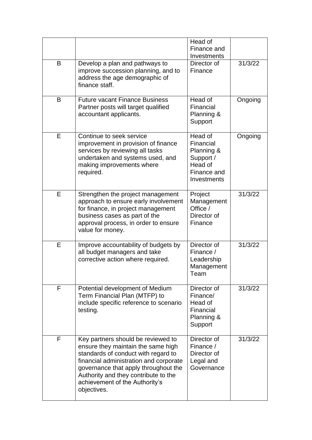|   |                                                                                                                                                                                                                                                                                            | Head of<br>Finance and<br>Investments                                                    |         |
|---|--------------------------------------------------------------------------------------------------------------------------------------------------------------------------------------------------------------------------------------------------------------------------------------------|------------------------------------------------------------------------------------------|---------|
| B | Develop a plan and pathways to<br>improve succession planning, and to<br>address the age demographic of<br>finance staff.                                                                                                                                                                  | Director of<br>Finance                                                                   | 31/3/22 |
| B | <b>Future vacant Finance Business</b><br>Partner posts will target qualified<br>accountant applicants.                                                                                                                                                                                     | Head of<br>Financial<br>Planning &<br>Support                                            | Ongoing |
| Е | Continue to seek service<br>improvement in provision of finance<br>services by reviewing all tasks<br>undertaken and systems used, and<br>making improvements where<br>required.                                                                                                           | Head of<br>Financial<br>Planning &<br>Support /<br>Head of<br>Finance and<br>Investments | Ongoing |
| E | Strengthen the project management<br>approach to ensure early involvement<br>for finance, in project management<br>business cases as part of the<br>approval process, in order to ensure<br>value for money.                                                                               | Project<br>Management<br>Office /<br>Director of<br>Finance                              | 31/3/22 |
| E | Improve accountability of budgets by<br>all budget managers and take<br>corrective action where required.                                                                                                                                                                                  | Director of<br>Finance /<br>Leadership<br>Management<br>Team                             | 31/3/22 |
| F | Potential development of Medium<br>Term Financial Plan (MTFP) to<br>include specific reference to scenario<br>testing.                                                                                                                                                                     | Director of<br>Finance/<br>Head of<br>Financial<br>Planning &<br>Support                 | 31/3/22 |
| F | Key partners should be reviewed to<br>ensure they maintain the same high<br>standards of conduct with regard to<br>financial administration and corporate<br>governance that apply throughout the<br>Authority and they contribute to the<br>achievement of the Authority's<br>objectives. | Director of<br>Finance /<br>Director of<br>Legal and<br>Governance                       | 31/3/22 |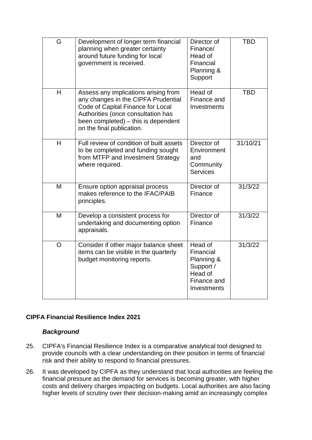| G              | Development of longer term financial<br>planning when greater certainty<br>around future funding for local<br>government is received.                                                                                      | Director of<br>Finance/<br>Head of<br>Financial<br>Planning &<br>Support                 | <b>TBD</b> |
|----------------|----------------------------------------------------------------------------------------------------------------------------------------------------------------------------------------------------------------------------|------------------------------------------------------------------------------------------|------------|
| H              | Assess any implications arising from<br>any changes in the CIPFA Prudential<br>Code of Capital Finance for Local<br>Authorities (once consultation has<br>been completed) – this is dependent<br>on the final publication. | Head of<br>Finance and<br>Investments                                                    | <b>TBD</b> |
| H              | Full review of condition of built assets<br>to be completed and funding sought<br>from MTFP and Investment Strategy<br>where required.                                                                                     | Director of<br>Environment<br>and<br>Community<br><b>Services</b>                        | 31/10/21   |
| M              | Ensure option appraisal process<br>makes reference to the IFAC/PAIB<br>principles.                                                                                                                                         | Director of<br>Finance                                                                   | 31/3/22    |
| M              | Develop a consistent process for<br>undertaking and documenting option<br>appraisals.                                                                                                                                      | Director of<br>Finance                                                                   | 31/3/22    |
| $\overline{O}$ | Consider if other major balance sheet<br>items can be visible in the quarterly<br>budget monitoring reports.                                                                                                               | Head of<br>Financial<br>Planning &<br>Support /<br>Head of<br>Finance and<br>Investments | 31/3/22    |

## **CIPFA Financial Resilience Index 2021**

#### *Background*

- 25. CIPFA's Financial Resilience Index is a comparative analytical tool designed to provide councils with a clear understanding on their position in terms of financial risk and their ability to respond to financial pressures.
- 26. It was developed by CIPFA as they understand that local authorities are feeling the financial pressure as the demand for services is becoming greater, with higher costs and delivery charges impacting on budgets. Local authorities are also facing higher levels of scrutiny over their decision-making amid an increasingly complex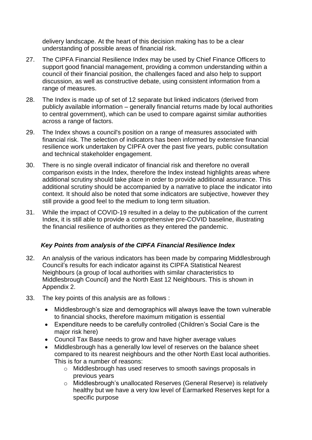delivery landscape. At the heart of this decision making has to be a clear understanding of possible areas of financial risk.

- 27. The CIPFA Financial Resilience Index may be used by Chief Finance Officers to support good financial management, providing a common understanding within a council of their financial position, the challenges faced and also help to support discussion, as well as constructive debate, using consistent information from a range of measures.
- 28. The Index is made up of set of 12 separate but linked indicators (derived from publicly available information – generally financial returns made by local authorities to central government), which can be used to compare against similar authorities across a range of factors.
- 29. The Index shows a council's position on a range of measures associated with financial risk. The selection of indicators has been informed by extensive financial resilience work undertaken by CIPFA over the past five years, public consultation and technical stakeholder engagement.
- 30. There is no single overall indicator of financial risk and therefore no overall comparison exists in the Index, therefore the Index instead highlights areas where additional scrutiny should take place in order to provide additional assurance. This additional scrutiny should be accompanied by a narrative to place the indicator into context. It should also be noted that some indicators are subjective, however they still provide a good feel to the medium to long term situation.
- 31. While the impact of COVID-19 resulted in a delay to the publication of the current Index, it is still able to provide a comprehensive pre-COVID baseline, illustrating the financial resilience of authorities as they entered the pandemic.

## *Key Points from analysis of the CIPFA Financial Resilience Index*

- 32. An analysis of the various indicators has been made by comparing Middlesbrough Council's results for each indicator against its CIPFA Statistical Nearest Neighbours (a group of local authorities with similar characteristics to Middlesbrough Council) and the North East 12 Neighbours. This is shown in Appendix 2.
- 33. The key points of this analysis are as follows :
	- Middlesbrough's size and demographics will always leave the town vulnerable to financial shocks, therefore maximum mitigation is essential
	- Expenditure needs to be carefully controlled (Children's Social Care is the major risk here)
	- Council Tax Base needs to grow and have higher average values
	- Middlesbrough has a generally low level of reserves on the balance sheet compared to its nearest neighbours and the other North East local authorities. This is for a number of reasons:
		- o Middlesbrough has used reserves to smooth savings proposals in previous years
		- o Middlesbrough's unallocated Reserves (General Reserve) is relatively healthy but we have a very low level of Earmarked Reserves kept for a specific purpose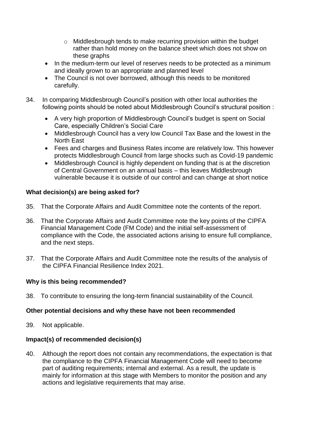- o Middlesbrough tends to make recurring provision within the budget rather than hold money on the balance sheet which does not show on these graphs
- In the medium-term our level of reserves needs to be protected as a minimum and ideally grown to an appropriate and planned level
- The Council is not over borrowed, although this needs to be monitored carefully.
- 34. In comparing Middlesbrough Council's position with other local authorities the following points should be noted about Middlesbrough Council's structural position :
	- A very high proportion of Middlesbrough Council's budget is spent on Social Care, especially Children's Social Care
	- Middlesbrough Council has a very low Council Tax Base and the lowest in the North East
	- Fees and charges and Business Rates income are relatively low. This however protects Middlesbrough Council from large shocks such as Covid-19 pandemic
	- Middlesbrough Council is highly dependent on funding that is at the discretion of Central Government on an annual basis – this leaves Middlesbrough vulnerable because it is outside of our control and can change at short notice

## **What decision(s) are being asked for?**

- 35. That the Corporate Affairs and Audit Committee note the contents of the report.
- 36. That the Corporate Affairs and Audit Committee note the key points of the CIPFA Financial Management Code (FM Code) and the initial self-assessment of compliance with the Code, the associated actions arising to ensure full compliance, and the next steps.
- 37. That the Corporate Affairs and Audit Committee note the results of the analysis of the CIPFA Financial Resilience Index 2021.

#### **Why is this being recommended?**

38. To contribute to ensuring the long-term financial sustainability of the Council.

#### **Other potential decisions and why these have not been recommended**

39. Not applicable.

#### **Impact(s) of recommended decision(s)**

40. Although the report does not contain any recommendations, the expectation is that the compliance to the CIPFA Financial Management Code will need to become part of auditing requirements; internal and external. As a result, the update is mainly for information at this stage with Members to monitor the position and any actions and legislative requirements that may arise.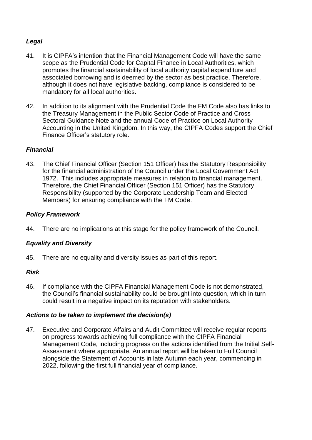# *Legal*

- 41. It is CIPFA's intention that the Financial Management Code will have the same scope as the Prudential Code for Capital Finance in Local Authorities, which promotes the financial sustainability of local authority capital expenditure and associated borrowing and is deemed by the sector as best practice. Therefore, although it does not have legislative backing, compliance is considered to be mandatory for all local authorities.
- 42. In addition to its alignment with the Prudential Code the FM Code also has links to the Treasury Management in the Public Sector Code of Practice and Cross Sectoral Guidance Note and the annual Code of Practice on Local Authority Accounting in the United Kingdom. In this way, the CIPFA Codes support the Chief Finance Officer's statutory role.

## *Financial*

43. The Chief Financial Officer (Section 151 Officer) has the Statutory Responsibility for the financial administration of the Council under the Local Government Act 1972. This includes appropriate measures in relation to financial management. Therefore, the Chief Financial Officer (Section 151 Officer) has the Statutory Responsibility (supported by the Corporate Leadership Team and Elected Members) for ensuring compliance with the FM Code.

#### *Policy Framework*

44. There are no implications at this stage for the policy framework of the Council.

## *Equality and Diversity*

45. There are no equality and diversity issues as part of this report.

## *Risk*

46. If compliance with the CIPFA Financial Management Code is not demonstrated, the Council's financial sustainability could be brought into question, which in turn could result in a negative impact on its reputation with stakeholders.

#### *Actions to be taken to implement the decision(s)*

47. Executive and Corporate Affairs and Audit Committee will receive regular reports on progress towards achieving full compliance with the CIPFA Financial Management Code, including progress on the actions identified from the Initial Self-Assessment where appropriate. An annual report will be taken to Full Council alongside the Statement of Accounts in late Autumn each year, commencing in 2022, following the first full financial year of compliance.